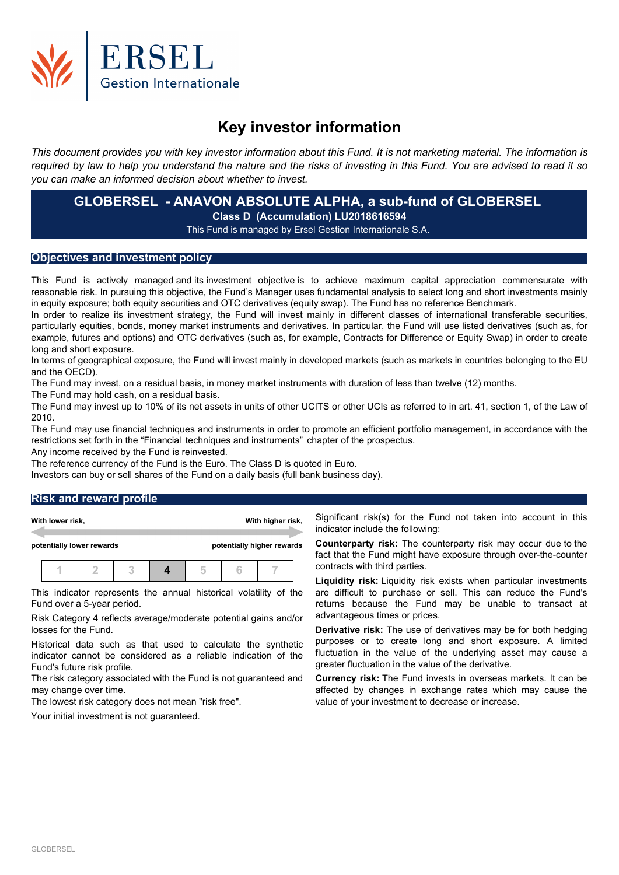

# **Key investor information**

This document provides you with key investor information about this Fund. It is not marketing material. The information is required by law to help you understand the nature and the risks of investing in this Fund. You are advised to read it so *you can make an informed decision about whether to invest.*

# **GLOBERSEL - ANAVON ABSOLUTE ALPHA, a sub-fund of GLOBERSEL Class D (Accumulation) LU2018616594**

This Fund is managed by Ersel Gestion Internationale S.A.

# **Objectives and investment policy**

This Fund is actively managed and its investment objective is to achieve maximum capital appreciation commensurate with reasonable risk. In pursuing this objective, the Fund's Manager uses fundamental analysis to select long and short investments mainly in equity exposure; both equity securities and OTC derivatives (equity swap). The Fund has no reference Benchmark.

In order to realize its investment strategy, the Fund will invest mainly in different classes of international transferable securities, particularly equities, bonds, money market instruments and derivatives. In particular, the Fund will use listed derivatives (such as, for example, futures and options) and OTC derivatives (such as, for example, Contracts for Difference or Equity Swap) in order to create long and short exposure.

In terms of geographical exposure, the Fund will invest mainly in developed markets (such as markets in countries belonging to the EU and the OECD).

The Fund may invest, on a residual basis, in money market instruments with duration of less than twelve (12) months.

The Fund may hold cash, on a residual basis.

The Fund may invest up to 10% of its net assets in units of other UCITS or other UCIs as referred to in art. 41, section 1, of the Law of 2010.

The Fund may use financial techniques and instruments in order to promote an efficient portfolio management, in accordance with the restrictions set forth in the "Financial techniques and instruments" chapter of the prospectus.

Any income received by the Fund is reinvested.

The reference currency of the Fund is the Euro. The Class D is quoted in Euro.

Investors can buy or sell shares of the Fund on a daily basis (full bank business day).

## **Risk and reward profile**

|                                                         | With lower risk, |  |  | With higher risk,                                                 |  |  |  |  |
|---------------------------------------------------------|------------------|--|--|-------------------------------------------------------------------|--|--|--|--|
| potentially lower rewards<br>potentially higher rewards |                  |  |  |                                                                   |  |  |  |  |
|                                                         |                  |  |  |                                                                   |  |  |  |  |
|                                                         |                  |  |  | This indicator represents the annual historical volatility of the |  |  |  |  |

This indicator represents the annual historical volatility of the Fund over a 5-year period.

Risk Category 4 reflects average/moderate potential gains and/or losses for the Fund.

Historical data such as that used to calculate the synthetic indicator cannot be considered as a reliable indication of the Fund's future risk profile.

The risk category associated with the Fund is not guaranteed and may change over time.

The lowest risk category does not mean "risk free".

Your initial investment is not guaranteed.

Significant risk(s) for the Fund not taken into account in this indicator include the following:

**Counterparty risk:** The counterparty risk may occur due to the fact that the Fund might have exposure through over-the-counter contracts with third parties.

**Liquidity risk:** Liquidity risk exists when particular investments are difficult to purchase or sell. This can reduce the Fund's returns because the Fund may be unable to transact at advantageous times or prices.

**Derivative risk:** The use of derivatives may be for both hedging purposes or to create long and short exposure. A limited fluctuation in the value of the underlying asset may cause a greater fluctuation in the value of the derivative.

**Currency risk:** The Fund invests in overseas markets. It can be affected by changes in exchange rates which may cause the value of your investment to decrease or increase.